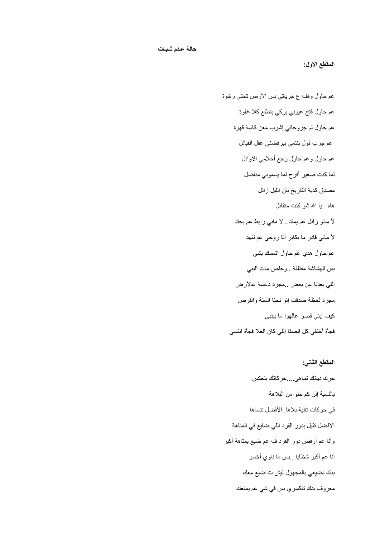**المقطع االول:**

عم حاول وقف ع جرياتي بس الأرض تحتى رخوة عم حاول فتح عيوني بركي بتطلع كلا غفوة عم حاول لم جروحاتي إشرب معن كاسة قهوة عم جرب قول بنتمي بير فضني عقل القبائل عم حاول وعم حاول رجع أحلامي الاوائل لما كنت صغير أفرح لما يسموني مناضل مصدق كذبة التاريخ بأن الليل زائل هاه ٍ.يا الله شو كنت متفائل لأ مانو زائل عم يمتد...لا ماني زابط عم بحتد لأ ماني قادر ما بكابر أنا روحي عم تنهد عم حاول هدي عم حاول اتمسك بشً بس الهشاشة مطلقة ..وخلص مات النبً اللي بعدنا عن بعض ..مجر د دعسة عالأر ض مجرد لحظة صدقت إنو نحنا السنة والفرض كيف إبني قصر عالهوا ما بينبي فجأة أختفى كل الصفا اللً كان العال فجأة انتسى

## **المقطع الثاني:**

حرك دياتك تماهى....حركاتك بتعكس بالنسبة إلن كم حلو من البالهة في حركات تانية بلاها..الأفضل تنساها الافضل تقبل بدور القرد اللي ضايع في المتاهة وأنا عم أرفض دور القرد ف عم ضيع بمتاهة أكبر أنا عم أكبر شظايا ..بس ما ناوي أخسر بدك تضيعي بالمجهول ليش ت ضيع معك معروف بدك تنكسري بس في شي عم يمنعك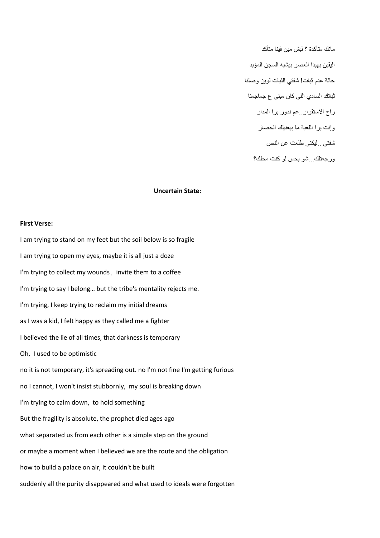مانك متأكدة ؟ ليش مين فينا متأكد اليقين بهيدا العصر بيشبه السجن المؤبد حالة عدم ثبات! شفتي الثبات لوين وصلنا ثباتك السادي اللي كان مبني ع جماجمنا راح االستقرار..عم ندور برا المدار وإنت برا اللعبة ما بيعنيلك الحصار شفتي ..ليكني طلعت عن النص ورجعتلك...شو بحس لو كنت محلك؟

## **Uncertain State:**

## **First Verse:**

I am trying to stand on my feet but the soil below is so fragile I am trying to open my eyes, maybe it is all just a doze I'm trying to collect my wounds , invite them to a coffee I'm trying to say I belong… but the tribe's mentality rejects me. I'm trying, I keep trying to reclaim my initial dreams as I was a kid, I felt happy as they called me a fighter I believed the lie of all times, that darkness is temporary Oh, I used to be optimistic no it is not temporary, it's spreading out. no I'm not fine I'm getting furious no I cannot, I won't insist stubbornly, my soul is breaking down I'm trying to calm down, to hold something But the fragility is absolute, the prophet died ages ago what separated us from each other is a simple step on the ground or maybe a moment when I believed we are the route and the obligation how to build a palace on air, it couldn't be built suddenly all the purity disappeared and what used to ideals were forgotten